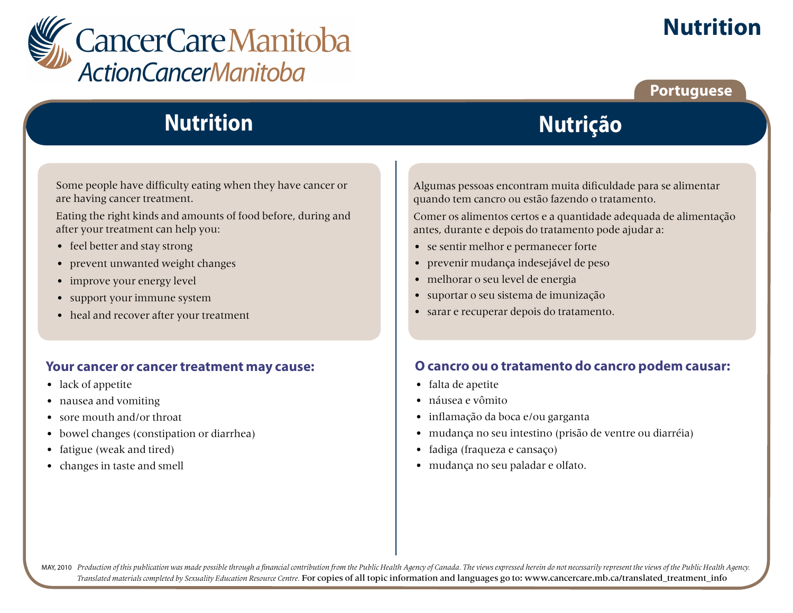

# **Nutrition**

## **Portuguese**

# **Nutrition**

Some people have difficulty eating when they have cancer or are having cancer treatment.

Eating the right kinds and amounts of food before, during and after your treatment can help you:

- feel better and stay strong
- prevent unwanted weight changes
- improve your energy level
- support your immune system
- heal and recover after your treatment

#### **Your cancer or cancer treatment may cause:**

- lack of appetite
- nausea and vomiting
- sore mouth and/or throat
- bowel changes (constipation or diarrhea)
- fatigue (weak and tired)
- changes in taste and smell

Algumas pessoas encontram muita dificuldade para se alimentar quando tem cancro ou estão fazendo o tratamento.

Comer os alimentos certos e a quantidade adequada de alimentação antes, durante e depois do tratamento pode ajudar a:

**Nutrição**

- se sentir melhor e permanecer forte
- prevenir mudança indesejável de peso
- melhorar o seu level de energia
- suportar o seu sistema de imunização
- sarar e recuperar depois do tratamento.

#### **O cancro ou o tratamento do cancro podem causar:**

- falta de apetite
- náusea e vômito
- inflamação da boca e/ou garganta
- mudança no seu intestino (prisão de ventre ou diarréia)
- fadiga (fraqueza e cansaço)
- mudança no seu paladar e olfato.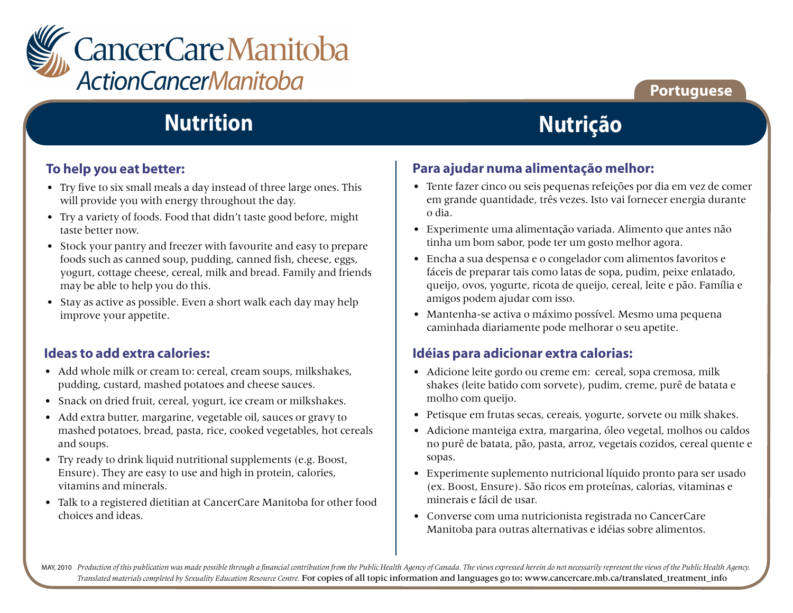

# **Portuguese**

# **Nutrition**

### **To help you eat better:**

- Try five to six small meals a day instead of three large ones. This will provide you with energy throughout the day.
- Try a variety of foods. Food that didn't taste good before, might taste better now.
- Stock your pantry and freezer with favourite and easy to prepare foods such as canned soup, pudding, canned fish, cheese, eggs, yogurt, cottage cheese, cereal, milk and bread. Family and friends may be able to help you do this.
- Stay as active as possible. Even a short walk each day may help improve your appetite.

## **Ideas to add extra calories:**

- Add whole milk or cream to: cereal, cream soups, milkshakes, pudding, custard, mashed potatoes and cheese sauces.
- Snack on dried fruit, cereal, yogurt, ice cream or milkshakes.
- Add extra butter, margarine, vegetable oil, sauces or gravy to mashed potatoes, bread, pasta, rice, cooked vegetables, hot cereals and soups.
- Try ready to drink liquid nutritional supplements (e.g. Boost, Ensure). They are easy to use and high in protein, calories, vitamins and minerals.
- Talk to a registered dietitian at CancerCare Manitoba for other food choices and ideas.

# **Nutrição**

### **Para ajudar numa alimentação melhor:**

- Tente fazer cinco ou seis pequenas refeições por dia em vez de comer em grande quantidade, três vezes. Isto vai fornecer energia durante o dia.
- Experimente uma alimentação variada. Alimento que antes não tinha um bom sabor, pode ter um gosto melhor agora.
- Encha a sua despensa e o congelador com alimentos favoritos e fáceis de preparar tais como latas de sopa, pudim, peixe enlatado, queijo, ovos, yogurte, ricota de queijo, cereal, leite e pão. Família e amigos podem ajudar com isso.
- Mantenha-se activa o máximo possível. Mesmo uma pequena caminhada diariamente pode melhorar o seu apetite.

## **Idéias para adicionar extra calorias:**

- Adicione leite gordo ou creme em: cereal, sopa cremosa, milk shakes (leite batido com sorvete), pudim, creme, purê de batata e molho com queijo.
- Petisque em frutas secas, cereais, yogurte, sorvete ou milk shakes.
- Adicione manteiga extra, margarina, óleo vegetal, molhos ou caldos no purê de batata, pão, pasta, arroz, vegetais cozidos, cereal quente e sopas.
- Experimente suplemento nutricional líquido pronto para ser usado (ex. Boost, Ensure). São ricos em proteínas, calorias, vitaminas e minerais e fácil de usar.
- Converse com uma nutricionista registrada no CancerCare Manitoba para outras alternativas e idéias sobre alimentos.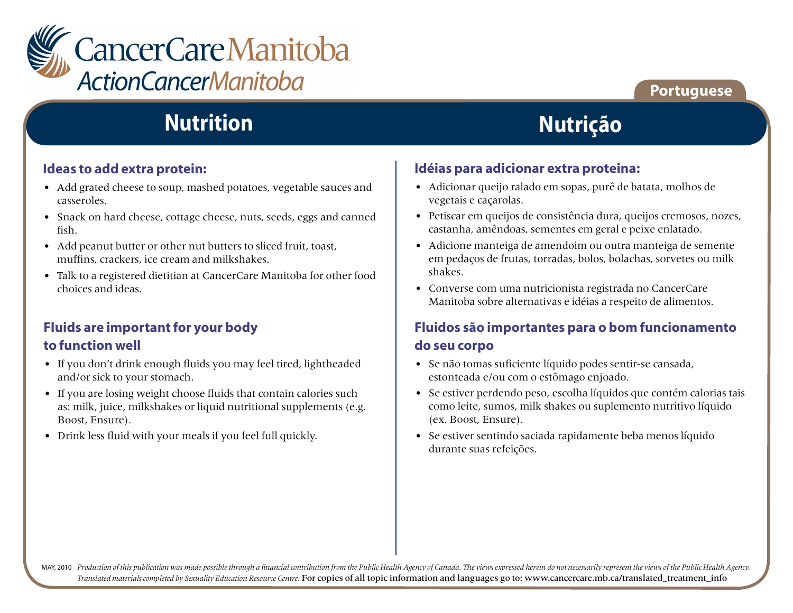

# **Portuguese**

# **Nutrition**

#### **Ideas to add extra protein:**

- Add grated cheese to soup, mashed potatoes, vegetable sauces and casseroles.
- Snack on hard cheese, cottage cheese, nuts, seeds, eggs and canned fish.
- Add peanut butter or other nut butters to sliced fruit, toast, muffins, crackers, ice cream and milkshakes.
- Talk to a registered dietitian at CancerCare Manitoba for other food choices and ideas.

# **Fluids are important for your body to function well**

- If you don't drink enough fluids you may feel tired, lightheaded and/or sick to your stomach.
- If you are losing weight choose fluids that contain calories such as: milk, juice, milkshakes or liquid nutritional supplements (e.g. Boost, Ensure).
- Drink less fluid with your meals if you feel full quickly.

#### **Idéias para adicionar extra proteina:**

- Adicionar queijo ralado em sopas, purê de batata, molhos de vegetais e caçarolas.
- Petiscar em queijos de consistência dura, queijos cremosos, nozes, castanha, amêndoas, sementes em geral e peixe enlatado.

**Nutrição**

- Adicione manteiga de amendoim ou outra manteiga de semente em pedaços de frutas, torradas, bolos, bolachas, sorvetes ou milk shakes.
- Converse com uma nutricionista registrada no CancerCare Manitoba sobre alternativas e idéias a respeito de alimentos.

## **Fluidos são importantes para o bom funcionamento do seu corpo**

- Se não tomas suficiente líquido podes sentir-se cansada, estonteada e/ou com o estômago enjoado.
- Se estiver perdendo peso, escolha líquidos que contém calorias tais como leite, sumos, milk shakes ou suplemento nutritivo líquido (ex. Boost, Ensure).
- Se estiver sentindo saciada rapidamente beba menos líquido durante suas refeições.